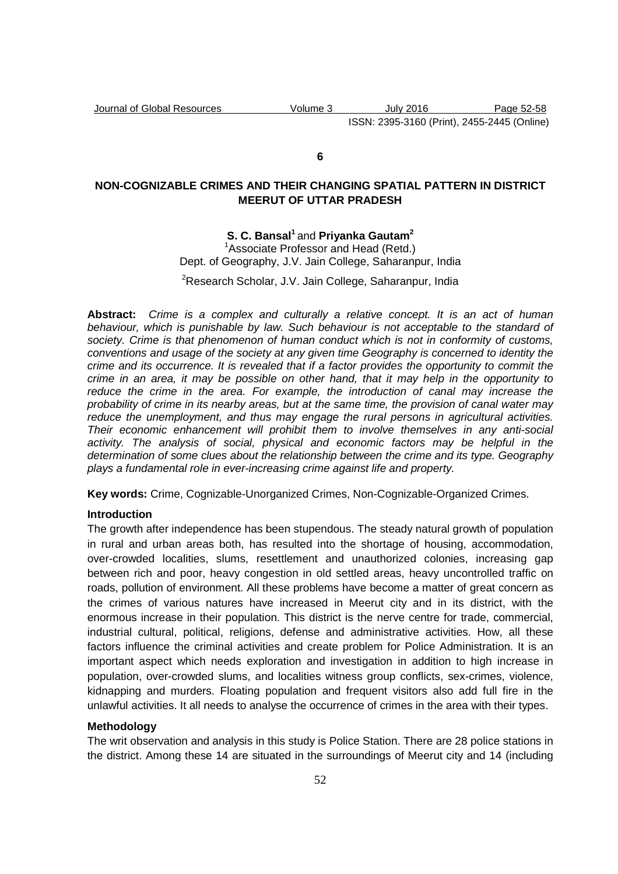**6** 

## **NON-COGNIZABLE CRIMES AND THEIR CHANGING SPATIAL PATTERN IN DISTRICT MEERUT OF UTTAR PRADESH**

# **S. C. Bansal<sup>1</sup>**and **Priyanka Gautam<sup>2</sup>**

<sup>1</sup>Associate Professor and Head (Retd.) Dept. of Geography, J.V. Jain College, Saharanpur, India

<sup>2</sup>Research Scholar, J.V. Jain College, Saharanpur, India

**Abstract:** Crime is a complex and culturally a relative concept. It is an act of human behaviour, which is punishable by law. Such behaviour is not acceptable to the standard of society. Crime is that phenomenon of human conduct which is not in conformity of customs, conventions and usage of the society at any given time Geography is concerned to identity the crime and its occurrence. It is revealed that if a factor provides the opportunity to commit the crime in an area, it may be possible on other hand, that it may help in the opportunity to reduce the crime in the area. For example, the introduction of canal may increase the probability of crime in its nearby areas, but at the same time, the provision of canal water may reduce the unemployment, and thus may engage the rural persons in agricultural activities. Their economic enhancement will prohibit them to involve themselves in any anti-social activity. The analysis of social, physical and economic factors may be helpful in the determination of some clues about the relationship between the crime and its type. Geography plays a fundamental role in ever-increasing crime against life and property.

**Key words:** Crime, Cognizable-Unorganized Crimes, Non-Cognizable-Organized Crimes.

## **Introduction**

The growth after independence has been stupendous. The steady natural growth of population in rural and urban areas both, has resulted into the shortage of housing, accommodation, over-crowded localities, slums, resettlement and unauthorized colonies, increasing gap between rich and poor, heavy congestion in old settled areas, heavy uncontrolled traffic on roads, pollution of environment. All these problems have become a matter of great concern as the crimes of various natures have increased in Meerut city and in its district, with the enormous increase in their population. This district is the nerve centre for trade, commercial, industrial cultural, political, religions, defense and administrative activities. How, all these factors influence the criminal activities and create problem for Police Administration. It is an important aspect which needs exploration and investigation in addition to high increase in population, over-crowded slums, and localities witness group conflicts, sex-crimes, violence, kidnapping and murders. Floating population and frequent visitors also add full fire in the unlawful activities. It all needs to analyse the occurrence of crimes in the area with their types.

## **Methodology**

The writ observation and analysis in this study is Police Station. There are 28 police stations in the district. Among these 14 are situated in the surroundings of Meerut city and 14 (including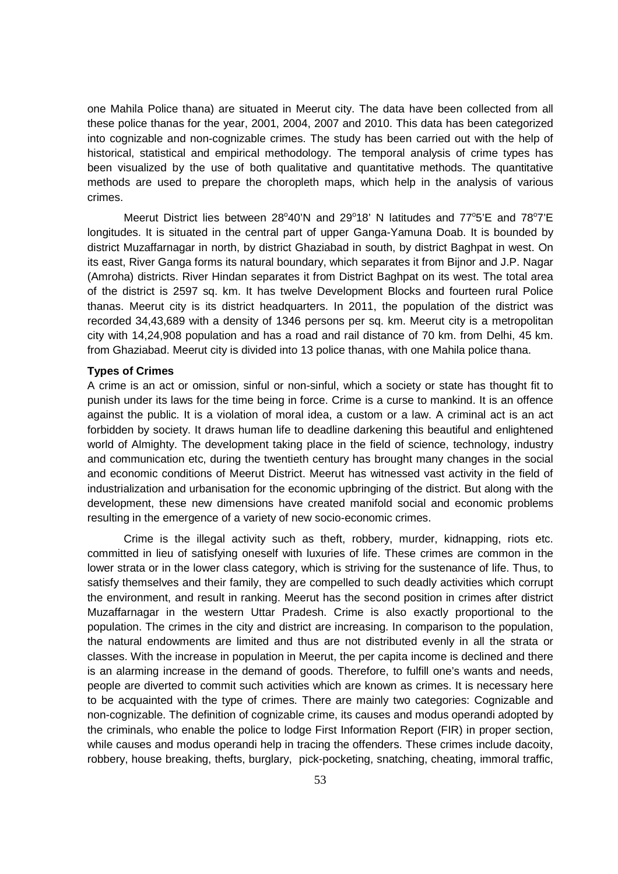one Mahila Police thana) are situated in Meerut city. The data have been collected from all these police thanas for the year, 2001, 2004, 2007 and 2010. This data has been categorized into cognizable and non-cognizable crimes. The study has been carried out with the help of historical, statistical and empirical methodology. The temporal analysis of crime types has been visualized by the use of both qualitative and quantitative methods. The quantitative methods are used to prepare the choropleth maps, which help in the analysis of various crimes.

Meerut District lies between  $28^{\circ}40'$ N and  $29^{\circ}18'$  N latitudes and  $77^{\circ}5'E$  and  $78^{\circ}7'E$ longitudes. It is situated in the central part of upper Ganga-Yamuna Doab. It is bounded by district Muzaffarnagar in north, by district Ghaziabad in south, by district Baghpat in west. On its east, River Ganga forms its natural boundary, which separates it from Bijnor and J.P. Nagar (Amroha) districts. River Hindan separates it from District Baghpat on its west. The total area of the district is 2597 sq. km. It has twelve Development Blocks and fourteen rural Police thanas. Meerut city is its district headquarters. In 2011, the population of the district was recorded 34,43,689 with a density of 1346 persons per sq. km. Meerut city is a metropolitan city with 14,24,908 population and has a road and rail distance of 70 km. from Delhi, 45 km. from Ghaziabad. Meerut city is divided into 13 police thanas, with one Mahila police thana.

#### **Types of Crimes**

A crime is an act or omission, sinful or non-sinful, which a society or state has thought fit to punish under its laws for the time being in force. Crime is a curse to mankind. It is an offence against the public. It is a violation of moral idea, a custom or a law. A criminal act is an act forbidden by society. It draws human life to deadline darkening this beautiful and enlightened world of Almighty. The development taking place in the field of science, technology, industry and communication etc, during the twentieth century has brought many changes in the social and economic conditions of Meerut District. Meerut has witnessed vast activity in the field of industrialization and urbanisation for the economic upbringing of the district. But along with the development, these new dimensions have created manifold social and economic problems resulting in the emergence of a variety of new socio-economic crimes.

Crime is the illegal activity such as theft, robbery, murder, kidnapping, riots etc. committed in lieu of satisfying oneself with luxuries of life. These crimes are common in the lower strata or in the lower class category, which is striving for the sustenance of life. Thus, to satisfy themselves and their family, they are compelled to such deadly activities which corrupt the environment, and result in ranking. Meerut has the second position in crimes after district Muzaffarnagar in the western Uttar Pradesh. Crime is also exactly proportional to the population. The crimes in the city and district are increasing. In comparison to the population, the natural endowments are limited and thus are not distributed evenly in all the strata or classes. With the increase in population in Meerut, the per capita income is declined and there is an alarming increase in the demand of goods. Therefore, to fulfill one's wants and needs, people are diverted to commit such activities which are known as crimes. It is necessary here to be acquainted with the type of crimes. There are mainly two categories: Cognizable and non-cognizable. The definition of cognizable crime, its causes and modus operandi adopted by the criminals, who enable the police to lodge First Information Report (FIR) in proper section, while causes and modus operandi help in tracing the offenders. These crimes include dacoity, robbery, house breaking, thefts, burglary, pick-pocketing, snatching, cheating, immoral traffic,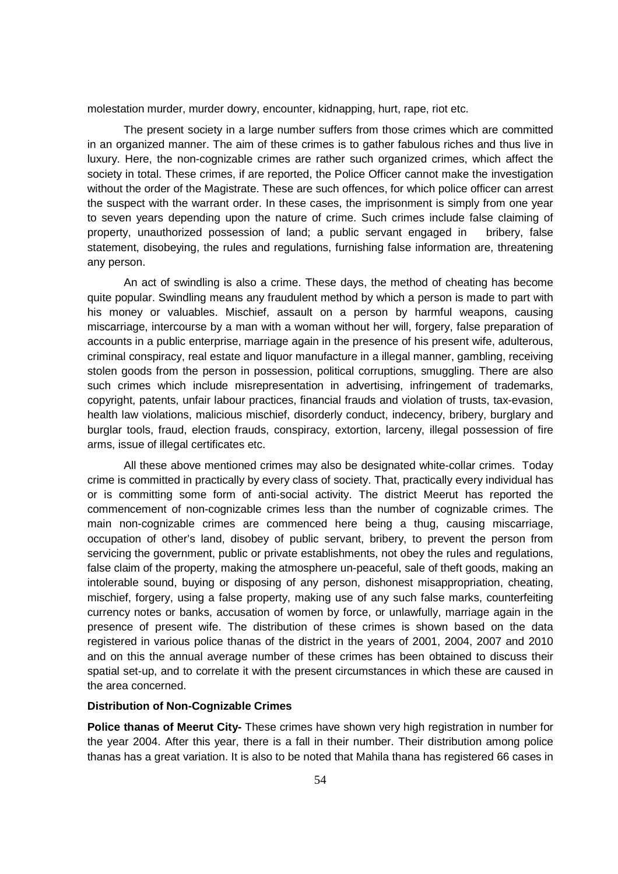molestation murder, murder dowry, encounter, kidnapping, hurt, rape, riot etc.

The present society in a large number suffers from those crimes which are committed in an organized manner. The aim of these crimes is to gather fabulous riches and thus live in luxury. Here, the non-cognizable crimes are rather such organized crimes, which affect the society in total. These crimes, if are reported, the Police Officer cannot make the investigation without the order of the Magistrate. These are such offences, for which police officer can arrest the suspect with the warrant order. In these cases, the imprisonment is simply from one year to seven years depending upon the nature of crime. Such crimes include false claiming of property, unauthorized possession of land; a public servant engaged in bribery, false statement, disobeying, the rules and regulations, furnishing false information are, threatening any person.

An act of swindling is also a crime. These days, the method of cheating has become quite popular. Swindling means any fraudulent method by which a person is made to part with his money or valuables. Mischief, assault on a person by harmful weapons, causing miscarriage, intercourse by a man with a woman without her will, forgery, false preparation of accounts in a public enterprise, marriage again in the presence of his present wife, adulterous, criminal conspiracy, real estate and liquor manufacture in a illegal manner, gambling, receiving stolen goods from the person in possession, political corruptions, smuggling. There are also such crimes which include misrepresentation in advertising, infringement of trademarks, copyright, patents, unfair labour practices, financial frauds and violation of trusts, tax-evasion, health law violations, malicious mischief, disorderly conduct, indecency, bribery, burglary and burglar tools, fraud, election frauds, conspiracy, extortion, larceny, illegal possession of fire arms, issue of illegal certificates etc.

All these above mentioned crimes may also be designated white-collar crimes. Today crime is committed in practically by every class of society. That, practically every individual has or is committing some form of anti-social activity. The district Meerut has reported the commencement of non-cognizable crimes less than the number of cognizable crimes. The main non-cognizable crimes are commenced here being a thug, causing miscarriage, occupation of other's land, disobey of public servant, bribery, to prevent the person from servicing the government, public or private establishments, not obey the rules and regulations, false claim of the property, making the atmosphere un-peaceful, sale of theft goods, making an intolerable sound, buying or disposing of any person, dishonest misappropriation, cheating, mischief, forgery, using a false property, making use of any such false marks, counterfeiting currency notes or banks, accusation of women by force, or unlawfully, marriage again in the presence of present wife. The distribution of these crimes is shown based on the data registered in various police thanas of the district in the years of 2001, 2004, 2007 and 2010 and on this the annual average number of these crimes has been obtained to discuss their spatial set-up, and to correlate it with the present circumstances in which these are caused in the area concerned.

### **Distribution of Non-Cognizable Crimes**

**Police thanas of Meerut City-** These crimes have shown very high registration in number for the year 2004. After this year, there is a fall in their number. Their distribution among police thanas has a great variation. It is also to be noted that Mahila thana has registered 66 cases in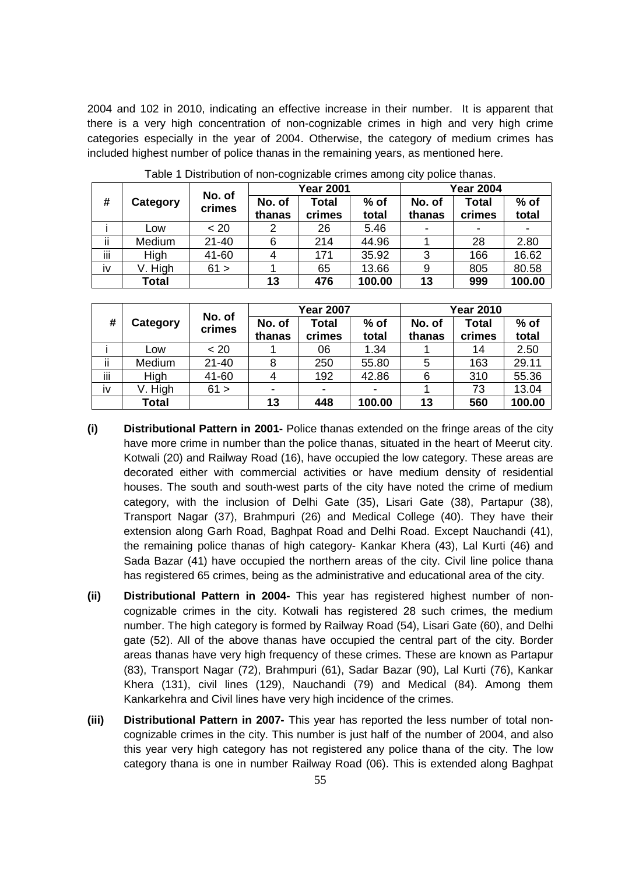2004 and 102 in 2010, indicating an effective increase in their number. It is apparent that there is a very high concentration of non-cognizable crimes in high and very high crime categories especially in the year of 2004. Otherwise, the category of medium crimes has included highest number of police thanas in the remaining years, as mentioned here.

| #         | Category     | No. of<br>crimes |                  | <b>Year 2001</b> |                 | <b>Year 2004</b>         |                 |                 |  |
|-----------|--------------|------------------|------------------|------------------|-----------------|--------------------------|-----------------|-----------------|--|
|           |              |                  | No. of<br>thanas | Total<br>crimes  | $%$ of<br>total | No. of<br>thanas         | Total<br>crimes | $%$ of<br>total |  |
|           | Low          | ~< 20            | 2                | 26               | 5.46            | $\overline{\phantom{0}}$ |                 |                 |  |
| ii        | Medium       | $21 - 40$        | 6                | 214              | 44.96           |                          | 28              | 2.80            |  |
| iii       | High         | 41-60            | 4                | 171              | 35.92           | 3                        | 166             | 16.62           |  |
| <b>IV</b> | V. High      | 61 >             |                  | 65               | 13.66           | 9                        | 805             | 80.58           |  |
|           | <b>Total</b> |                  | 13               | 476              | 100.00          | 13                       | 999             | 100.00          |  |

Table 1 Distribution of non-cognizable crimes among city police thanas.

| #   | Category     | No. of<br>crimes |                          | <b>Year 2007</b>       |                 | <b>Year 2010</b> |                        |                 |  |
|-----|--------------|------------------|--------------------------|------------------------|-----------------|------------------|------------------------|-----------------|--|
|     |              |                  | No. of<br>thanas         | <b>Total</b><br>crimes | $%$ of<br>total | No. of<br>thanas | <b>Total</b><br>crimes | $%$ of<br>total |  |
|     | Low          | ~< 20            |                          | 06                     | 1.34            |                  | 14                     | 2.50            |  |
| ii  | Medium       | $21 - 40$        | 8                        | 250                    | 55.80           | 5                | 163                    | 29.11           |  |
| iii | High         | 41-60            |                          | 192                    | 42.86           | 6                | 310                    | 55.36           |  |
| İV  | V. High      | 61 >             | $\overline{\phantom{0}}$ |                        |                 |                  | 73                     | 13.04           |  |
|     | <b>Total</b> |                  | 13                       | 448                    | 100.00          | 13               | 560                    | 100.00          |  |

- **(i) Distributional Pattern in 2001-** Police thanas extended on the fringe areas of the city have more crime in number than the police thanas, situated in the heart of Meerut city. Kotwali (20) and Railway Road (16), have occupied the low category. These areas are decorated either with commercial activities or have medium density of residential houses. The south and south-west parts of the city have noted the crime of medium category, with the inclusion of Delhi Gate (35), Lisari Gate (38), Partapur (38), Transport Nagar (37), Brahmpuri (26) and Medical College (40). They have their extension along Garh Road, Baghpat Road and Delhi Road. Except Nauchandi (41), the remaining police thanas of high category- Kankar Khera (43), Lal Kurti (46) and Sada Bazar (41) have occupied the northern areas of the city. Civil line police thana has registered 65 crimes, being as the administrative and educational area of the city.
- **(ii) Distributional Pattern in 2004-** This year has registered highest number of noncognizable crimes in the city. Kotwali has registered 28 such crimes, the medium number. The high category is formed by Railway Road (54), Lisari Gate (60), and Delhi gate (52). All of the above thanas have occupied the central part of the city. Border areas thanas have very high frequency of these crimes. These are known as Partapur (83), Transport Nagar (72), Brahmpuri (61), Sadar Bazar (90), Lal Kurti (76), Kankar Khera (131), civil lines (129), Nauchandi (79) and Medical (84). Among them Kankarkehra and Civil lines have very high incidence of the crimes.
- **(iii) Distributional Pattern in 2007-** This year has reported the less number of total noncognizable crimes in the city. This number is just half of the number of 2004, and also this year very high category has not registered any police thana of the city. The low category thana is one in number Railway Road (06). This is extended along Baghpat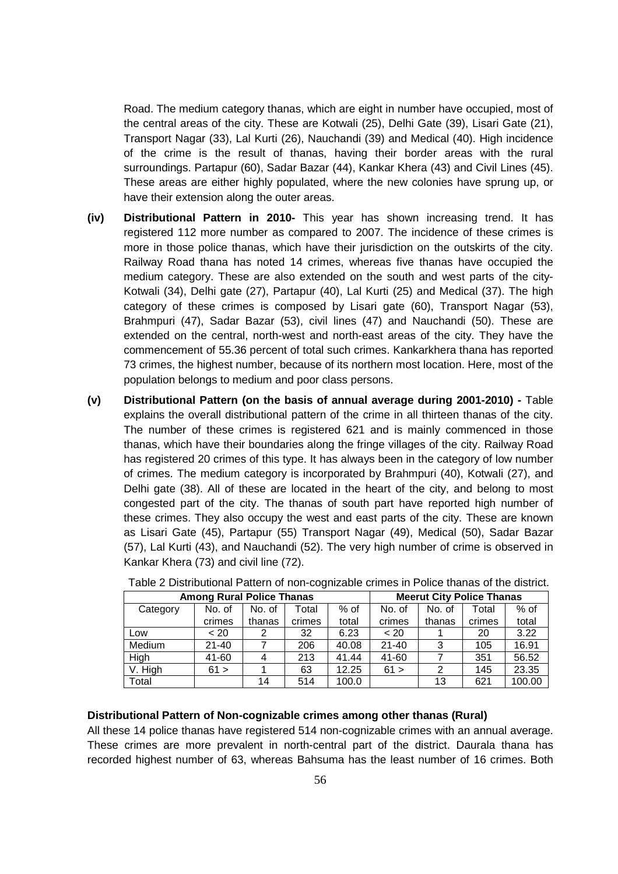Road. The medium category thanas, which are eight in number have occupied, most of the central areas of the city. These are Kotwali (25), Delhi Gate (39), Lisari Gate (21), Transport Nagar (33), Lal Kurti (26), Nauchandi (39) and Medical (40). High incidence of the crime is the result of thanas, having their border areas with the rural surroundings. Partapur (60), Sadar Bazar (44), Kankar Khera (43) and Civil Lines (45). These areas are either highly populated, where the new colonies have sprung up, or have their extension along the outer areas.

- **(iv) Distributional Pattern in 2010-** This year has shown increasing trend. It has registered 112 more number as compared to 2007. The incidence of these crimes is more in those police thanas, which have their jurisdiction on the outskirts of the city. Railway Road thana has noted 14 crimes, whereas five thanas have occupied the medium category. These are also extended on the south and west parts of the city-Kotwali (34), Delhi gate (27), Partapur (40), Lal Kurti (25) and Medical (37). The high category of these crimes is composed by Lisari gate (60), Transport Nagar (53), Brahmpuri (47), Sadar Bazar (53), civil lines (47) and Nauchandi (50). These are extended on the central, north-west and north-east areas of the city. They have the commencement of 55.36 percent of total such crimes. Kankarkhera thana has reported 73 crimes, the highest number, because of its northern most location. Here, most of the population belongs to medium and poor class persons.
- **(v) Distributional Pattern (on the basis of annual average during 2001-2010) -** Table explains the overall distributional pattern of the crime in all thirteen thanas of the city. The number of these crimes is registered 621 and is mainly commenced in those thanas, which have their boundaries along the fringe villages of the city. Railway Road has registered 20 crimes of this type. It has always been in the category of low number of crimes. The medium category is incorporated by Brahmpuri (40), Kotwali (27), and Delhi gate (38). All of these are located in the heart of the city, and belong to most congested part of the city. The thanas of south part have reported high number of these crimes. They also occupy the west and east parts of the city. These are known as Lisari Gate (45), Partapur (55) Transport Nagar (49), Medical (50), Sadar Bazar (57), Lal Kurti (43), and Nauchandi (52). The very high number of crime is observed in Kankar Khera (73) and civil line (72).

| <b>Among Rural Police Thanas</b> | <b>Meerut City Police Thanas</b> |        |        |        |           |        |        |        |
|----------------------------------|----------------------------------|--------|--------|--------|-----------|--------|--------|--------|
| Category                         | No. of                           | No. of | Total  | $%$ of | No. of    | No. of | Total  | $%$ of |
|                                  | crimes                           | thanas | crimes | total  | crimes    | thanas | crimes | total  |
| Low                              | $~<$ 20                          | 2      | 32     | 6.23   | $~<$ 20   |        | 20     | 3.22   |
| Medium                           | $21 - 40$                        |        | 206    | 40.08  | $21 - 40$ | 3      | 105    | 16.91  |
| High                             | 41-60                            | 4      | 213    | 41.44  | 41-60     |        | 351    | 56.52  |
| V. High                          | 61 >                             |        | 63     | 12.25  | 61 >      | 2      | 145    | 23.35  |
| Total                            |                                  | 14     | 514    | 100.0  |           | 13     | 621    | 100.00 |

Table 2 Distributional Pattern of non-cognizable crimes in Police thanas of the district.

## **Distributional Pattern of Non-cognizable crimes among other thanas (Rural)**

All these 14 police thanas have registered 514 non-cognizable crimes with an annual average. These crimes are more prevalent in north-central part of the district. Daurala thana has recorded highest number of 63, whereas Bahsuma has the least number of 16 crimes. Both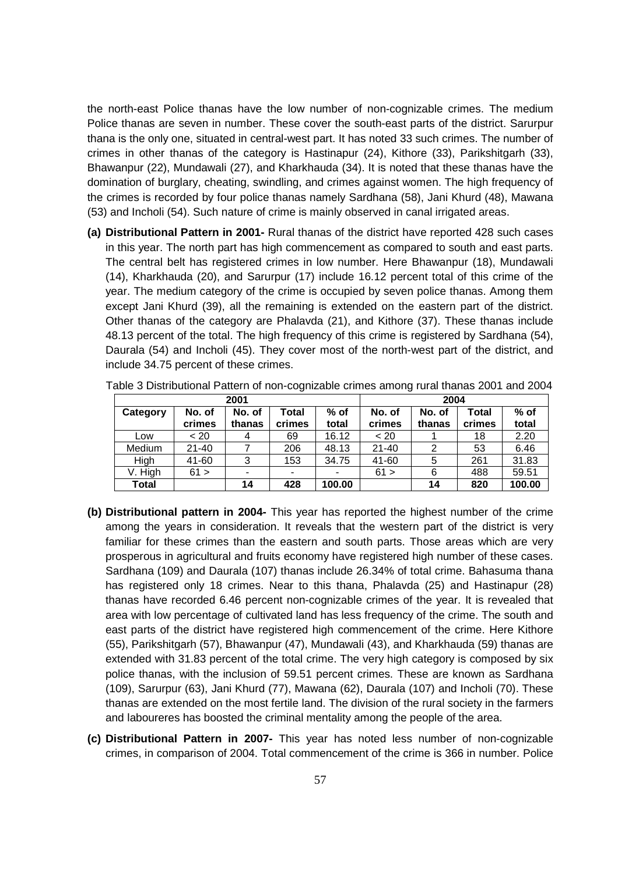the north-east Police thanas have the low number of non-cognizable crimes. The medium Police thanas are seven in number. These cover the south-east parts of the district. Sarurpur thana is the only one, situated in central-west part. It has noted 33 such crimes. The number of crimes in other thanas of the category is Hastinapur (24), Kithore (33), Parikshitgarh (33), Bhawanpur (22), Mundawali (27), and Kharkhauda (34). It is noted that these thanas have the domination of burglary, cheating, swindling, and crimes against women. The high frequency of the crimes is recorded by four police thanas namely Sardhana (58), Jani Khurd (48), Mawana (53) and Incholi (54). Such nature of crime is mainly observed in canal irrigated areas.

**(a) Distributional Pattern in 2001-** Rural thanas of the district have reported 428 such cases in this year. The north part has high commencement as compared to south and east parts. The central belt has registered crimes in low number. Here Bhawanpur (18), Mundawali (14), Kharkhauda (20), and Sarurpur (17) include 16.12 percent total of this crime of the year. The medium category of the crime is occupied by seven police thanas. Among them except Jani Khurd (39), all the remaining is extended on the eastern part of the district. Other thanas of the category are Phalavda (21), and Kithore (37). These thanas include 48.13 percent of the total. The high frequency of this crime is registered by Sardhana (54), Daurala (54) and Incholi (45). They cover most of the north-west part of the district, and include 34.75 percent of these crimes.

|          | 2004             |                  |                 |                          |                  |                  |                        |                 |
|----------|------------------|------------------|-----------------|--------------------------|------------------|------------------|------------------------|-----------------|
| Category | No. of<br>crimes | No. of<br>thanas | Total<br>crimes | $%$ of<br>total          | No. of<br>crimes | No. of<br>thanas | <b>Total</b><br>crimes | $%$ of<br>total |
| Low      | $~<$ 20          |                  | 69              | 16.12                    | $~<$ 20          |                  | 18                     | 2.20            |
| Medium   | $21 - 40$        |                  | 206             | 48.13                    | $21 - 40$        | 2                | 53                     | 6.46            |
| High     | 41-60            | 3                | 153             | 34.75                    | 41-60            | 5                | 261                    | 31.83           |
| V. High  | 61 >             |                  |                 | $\overline{\phantom{a}}$ | 61 >             | 6                | 488                    | 59.51           |
| Total    |                  | 14               | 428             | 100.00                   |                  | 14               | 820                    | 100.00          |

Table 3 Distributional Pattern of non-cognizable crimes among rural thanas 2001 and 2004

- **(b) Distributional pattern in 2004-** This year has reported the highest number of the crime among the years in consideration. It reveals that the western part of the district is very familiar for these crimes than the eastern and south parts. Those areas which are very prosperous in agricultural and fruits economy have registered high number of these cases. Sardhana (109) and Daurala (107) thanas include 26.34% of total crime. Bahasuma thana has registered only 18 crimes. Near to this thana, Phalavda (25) and Hastinapur (28) thanas have recorded 6.46 percent non-cognizable crimes of the year. It is revealed that area with low percentage of cultivated land has less frequency of the crime. The south and east parts of the district have registered high commencement of the crime. Here Kithore (55), Parikshitgarh (57), Bhawanpur (47), Mundawali (43), and Kharkhauda (59) thanas are extended with 31.83 percent of the total crime. The very high category is composed by six police thanas, with the inclusion of 59.51 percent crimes. These are known as Sardhana (109), Sarurpur (63), Jani Khurd (77), Mawana (62), Daurala (107) and Incholi (70). These thanas are extended on the most fertile land. The division of the rural society in the farmers and laboureres has boosted the criminal mentality among the people of the area.
- **(c) Distributional Pattern in 2007-** This year has noted less number of non-cognizable crimes, in comparison of 2004. Total commencement of the crime is 366 in number. Police